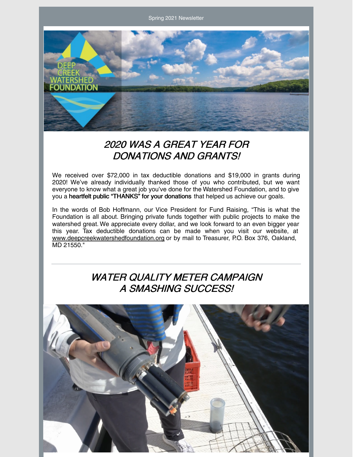Spring 2021 Newsletter



## 2020 WAS A GREAT YEAR FOR DONATIONS AND GRANTS!

We received over \$72,000 in tax deductible donations and \$19,000 in grants during 2020! We've already individually thanked those of you who contributed, but we want everyone to know what a great job you've done for the Watershed Foundation, and to give you a heartfelt public "THANKS" for your donations that helped us achieve our goals.

In the words of Bob Hoffmann, our Vice President for Fund Raising, "This is what the Foundation is all about. Bringing private funds together with public projects to make the watershed great. We appreciate every dollar, and we look forward to an even bigger year this year. Tax deductible donations can be made when you visit our website, at [www.deepcreekwatershedfoundation.org](http://www.deepcreekwatershedfoundation.org/) or by mail to Treasurer, P.O. Box 376, Oakland, MD 21550."

# WATER QUALITY METER CAMPAIGN A SMASHING SUCCESS!

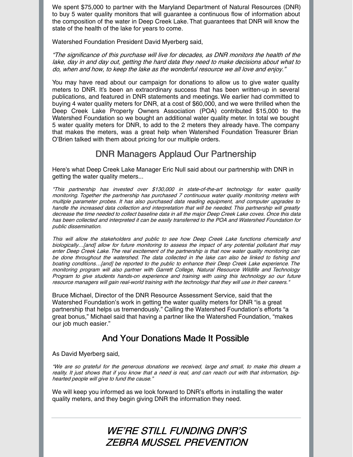We spent \$75,000 to partner with the Maryland Department of Natural Resources (DNR) to buy 5 water quality monitors that will guarantee a continuous flow of information about the composition of the water in Deep Creek Lake.That guarantees that DNR will know the state of the health of the lake for years to come.

Watershed Foundation President David Myerberg said,

"The significance of this purchase will live for decades, as DNR monitors the health of the lake, day in and day out, getting the hard data they need to make decisions about what to do, when and how, to keep the lake as the wonderful resource we all love and enjoy."

You may have read about our campaign for donations to allow us to give water quality meters to DNR. It's been an extraordinary success that has been written-up in several publications, and featured in DNR statements and meetings. We earlier had committed to buying 4 water quality meters for DNR, at a cost of \$60,000, and we were thrilled when the Deep Creek Lake Property Owners Association (POA) contributed \$15,000 to the Watershed Foundation so we bought an additional water quality meter. In total we bought 5 water quality meters for DNR, to add to the 2 meters they already have. The company that makes the meters, was a great help when Watershed Foundation Treasurer Brian O'Brien talked with them about pricing for our multiple orders.

#### DNR Managers Applaud Our Partnership

Here's what Deep Creek Lake Manager Eric Null said about our partnership with DNR in getting the water quality meters...

"This partnership has invested over \$130,000 in state-of-the-art technology for water quality monitoring. Together the partnership has purchased 7 continuous water quality monitoring meters with multiple parameter probes. It has also purchased data reading equipment, and computer upgrades to handle the increased data collection and interpretation that will be needed. This partnership will greatly decrease the time needed to collect baseline data in all the major Deep Creek Lake coves. Once this data has been collected and interpreted it can be easily transferred to the POA and Watershed Foundation for public dissemination.

This will allow the stakeholders and public to see how Deep Creek Lake functions chemically and biologically...[and] allow for future monitoring to assess the impact of any potential pollutant that may enter Deep Creek Lake. The real excitement of the partnership is that now water quality monitoring can be done throughout the watershed. The data collected in the lake can also be linked to fishing and boating conditions…[and] be reported to the public to enhance their Deep Creek Lake experience. The monitoring program will also partner with Garrett College, Natural Resource Wildlife and Technology Program to give students hands-on experience and training with using this technology so our future resource managers will gain real-world training with the technology that they will use in their careers."

Bruce Michael, Director of the DNR Resource Assessment Service, said that the Watershed Foundation's work in getting the water quality meters for DNR "is a great partnership that helps us tremendously." Calling the Watershed Foundation's efforts "a great bonus," Michael said that having a partner like the Watershed Foundation, "makes our job much easier."

#### And Your Donations Made It Possible

As David Myerberg said,

"We are so grateful for the generous donations we received, large and small, to make this dream <sup>a</sup> reality. It just shows that if you know that <sup>a</sup> need is real, and can reach out with that information, bighearted people will give to fund the cause."

We will keep you informed as we look forward to DNR's efforts in installing the water quality meters, and they begin giving DNR the information they need.

#### WE'RE STILL FUNDING DNR'S ZEBRA MUSSEL PREVENTION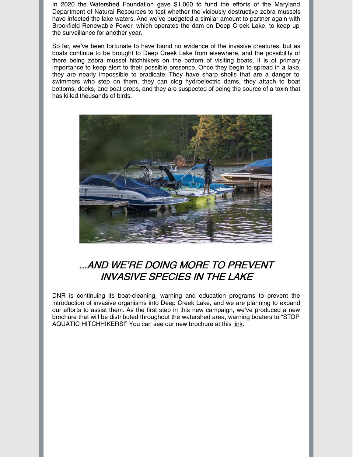In 2020 the Watershed Foundation gave \$1,060 to fund the efforts of the Maryland Department of Natural Resources to test whether the viciously destructive zebra mussels have infected the lake waters. And we've budgeted a similar amount to partner again with Brookfield Renewable Power, which operates the dam on Deep Creek Lake, to keep up the surveillance for another year.

So far, we've been fortunate to have found no evidence of the invasive creatures, but as boats continue to be brought to Deep Creek Lake from elsewhere, and the possibility of there being zebra mussel hitchhikers on the bottom of visiting boats, it is of primary importance to keep alert to their possible presence. Once they begin to spread in a lake, they are nearly impossible to eradicate. They have sharp shells that are a danger to swimmers who step on them, they can clog hydroelectric dams, they attach to boat bottoms, docks, and boat props, and they are suspected of being the source of a toxin that has killed thousands of birds.



## ...AND WE'RE DOING MORE TO PREVENT INVASIVE SPECIES IN THE LAKE

DNR is continuing its boat-cleaning, warning and education programs to prevent the introduction of invasive organisms into Deep Creek Lake, and we are planning to expand our efforts to assist them. As the first step in this new campaign, we've produced a new brochure that will be distributed throughout the watershed area, warning boaters to "STOP AQUATIC HITCHHIKERS!" You can see our new brochure at this [link](https://www.deepcreekwatershedfoundation.org/post/aquatic-hitchhiker-campaign).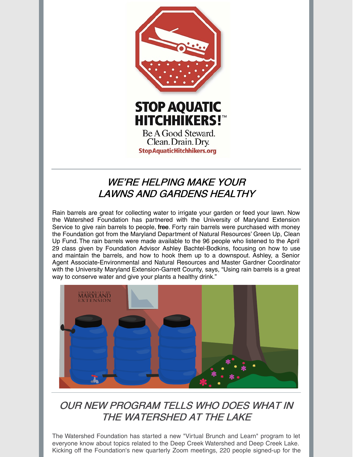

# WE'RE HELPING MAKE YOUR LAWNS AND GARDENS HEALTHY

Rain barrels are great for collecting water to irrigate your garden or feed your lawn. Now the Watershed Foundation has partnered with the University of Maryland Extension Service to give rain barrels to people, free. Forty rain barrels were purchased with money the Foundation got from the Maryland Department of Natural Resources' Green Up, Clean Up Fund. The rain barrels were made available to the 96 people who listened to the April 29 class given by Foundation Advisor Ashley Bachtel-Bodkins, focusing on how to use and maintain the barrels, and how to hook them up to a downspout. Ashley, a Senior Agent Associate-Environmental and Natural Resources and Master Gardner Coordinator with the University Maryland Extension-Garrett County, says, "Using rain barrels is a great way to conserve water and give your plants a healthy drink."



# OUR NEW PROGRAM TELLS WHO DOES WHAT IN THE WATERSHED AT THE LAKE

The Watershed Foundation has started a new "Virtual Brunch and Learn" program to let everyone know about topics related to the Deep Creek Watershed and Deep Creek Lake. Kicking off the Foundation's new quarterly Zoom meetings, 220 people signed-up for the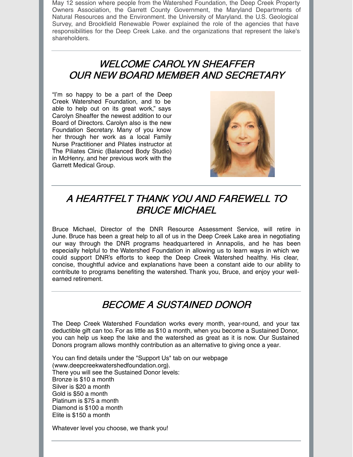May 12 session where people from the Watershed Foundation, the Deep Creek Property Owners Association, the Garrett County Government, the Maryland Departments of Natural Resources and the Environment. the University of Maryland. the U.S. Geological Survey, and Brookfield Renewable Power explained the role of the agencies that have responsibilities for the Deep Creek Lake. and the organizations that represent the lake's shareholders.

#### WELCOME CAROLYN SHEAFFER OUR NEW BOARD MEMBER AND SECRETARY

"I'm so happy to be a part of the Deep Creek Watershed Foundation, and to be able to help out on its great work," says Carolyn Sheaffer the newest addition to our Board of Directors. Carolyn also is the new Foundation Secretary. Many of you know her through her work as a local Family Nurse Practitioner and Pilates instructor at The Piliates Clinic (Balanced Body Studio) in McHenry, and her previous work with the Garrett Medical Group.



# A HEARTFELT THANK YOU AND FAREWELL TO BRUCE MICHAEL

Bruce Michael, Director of the DNR Resource Assessment Service, will retire in June. Bruce has been a great help to all of us in the Deep Creek Lake area in negotiating our way through the DNR programs headquartered in Annapolis, and he has been especially helpful to the Watershed Foundation in allowing us to learn ways in which we could support DNR's efforts to keep the Deep Creek Watershed healthy. His clear, concise, thoughtful advice and explanations have been a constant aide to our ability to contribute to programs benefiting the watershed. Thank you, Bruce, and enjoy your wellearned retirement.

# BECOME A SUSTAINED DONOR

The Deep Creek Watershed Foundation works every month, year-round, and your tax deductible gift can too. For as little as \$10 a month, when you become a Sustained Donor, you can help us keep the lake and the watershed as great as it is now. Our Sustained Donors program allows monthly contribution as an alternative to giving once a year.

You can find details under the "Support Us" tab on our webpage [\(www.deepcreekwatershedfoundation.org](http://www.deepcreekwatershedfoundation.org/)). There you will see the Sustained Donor levels: Bronze is \$10 a month Silver is \$20 a month Gold is \$50 a month Platinum is \$75 a month Diamond is \$100 a month Elite is \$150 a month

Whatever level you choose, we thank you!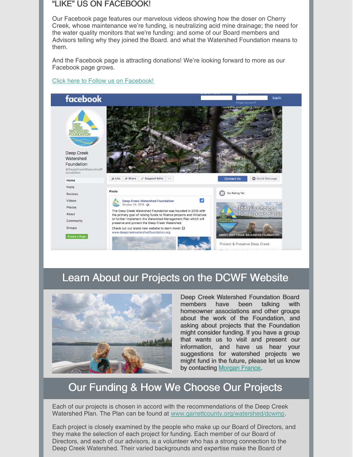#### "LIKE" US ON FACEBOOK!

Our Facebook page features our marvelous videos showing how the doser on Cherry Creek, whose maintenance we're funding, is neutralizing acid mine drainage; the need for the water quality monitors that we're funding: and some of our Board members and Advisors telling why they joined the Board. and what the Watershed Foundation means to them.

And the Facebook page is attracting donations! We're looking forward to more as our Facebook page grows.

#### Click here to Follow us on [Facebook!](https://www.facebook.com/DeepCreekWatershedFoundation/)



## Learn About our Projects on the DCWF Website



Deep Creek Watershed Foundation Board members have been talking with homeowner associations and other groups about the work of the Foundation, and asking about projects that the Foundation might consider funding. If you have a group that wants us to visit and present our information, and have us hear your suggestions for watershed projects we might fund in the future, please let us know by contacting [Morgan](mailto:silverdaggr@gmail.com) France.

# Our Funding & How We Choose Our Projects

Each of our projects is chosen in accord with the recommendations of the Deep Creek Watershed Plan. The Plan can be found at [www.garrettcounty.org/watershed/dcwmp](http://www.garrettcounty.org/watershed/dcwmp).

Each project is closely examined by the people who make up our Board of Directors, and they make the selection of each project for funding. Each member of our Board of Directors, and each of our advisors, is a volunteer who has a strong connection to the Deep Creek Watershed. Their varied backgrounds and expertise make the Board of